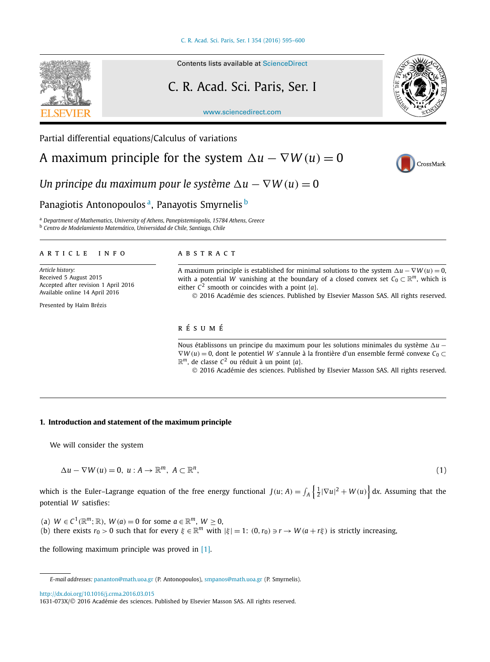<span id="page-0-0"></span>

### Contents lists available at [ScienceDirect](http://www.ScienceDirect.com/)

# C. R. Acad. Sci. Paris, Ser. I

[www.sciencedirect.com](http://www.sciencedirect.com)

Partial differential equations/Calculus of variations

A maximum principle for the system  $\Delta u - \nabla W(u) = 0$ 





*Un principe du maximum pour le système*  $\Delta u - \nabla W(u) = 0$ 

# Panagiotis Antonopoulos<sup>a</sup>, Panayotis Smyrnelis<sup>b</sup>

<sup>a</sup> *Department of Mathematics, University of Athens, Panepistemiopolis, 15784 Athens, Greece*

<sup>b</sup> *Centro de Modelamiento Matemático, Universidad de Chile, Santiago, Chile*

#### A R T I C L E I N F O A B S T R A C T

*Article history:* Received 5 August 2015 Accepted after revision 1 April 2016 Available online 14 April 2016

Presented by Haïm Brézis

A maximum principle is established for minimal solutions to the system  $\Delta u - \nabla W(u) = 0$ , with a potential *W* vanishing at the boundary of a closed convex set  $C_0 \subset \mathbb{R}^m$ , which is either  $\overline{C}^2$  smooth or coincides with a point  $\{a\}$ .

© 2016 Académie des sciences. Published by Elsevier Masson SAS. All rights reserved.

## r é s u m é

Nous établissons un principe du maximum pour les solutions minimales du système ∆u – ∇*W (u)* = 0, dont le potentiel *W* s'annule à la frontière d'un ensemble fermé convexe *C*<sup>0</sup> ⊂  $\mathbb{R}^m$ , de classe  $C^2$  ou réduit à un point {*a*}.

© 2016 Académie des sciences. Published by Elsevier Masson SAS. All rights reserved.

#### **1. Introduction and statement of the maximum principle**

We will consider the system

 $\Delta u - \nabla W(u) = 0, \ u : A \to \mathbb{R}^m, \ A \subset \mathbb{R}^n,$ (1)

which is the Euler–Lagrange equation of the free energy functional  $J(u; A) = \int_A \left\{ \frac{1}{2}|\nabla u|^2 + W(u) \right\} dx$ . Assuming that the potential *W* satisfies:

(a)  $W \in C^1(\mathbb{R}^m; \mathbb{R})$ ,  $W(a) = 0$  for some  $a \in \mathbb{R}^m$ ,  $W \ge 0$ ,

(b) there exists  $r_0 > 0$  such that for every  $\xi \in \mathbb{R}^m$  with  $|\xi| = 1$ :  $(0, r_0) \ni r \to W(a + r\xi)$  is strictly increasing,

the following maximum principle was proved in [\[1\].](#page-4-0)

<http://dx.doi.org/10.1016/j.crma.2016.03.015>

*E-mail addresses:* [pananton@math.uoa.gr](mailto:pananton@math.uoa.gr) (P. Antonopoulos), [smpanos@math.uoa.gr](mailto:smpanos@math.uoa.gr) (P. Smyrnelis).

<sup>1631-073</sup>X/© 2016 Académie des sciences. Published by Elsevier Masson SAS. All rights reserved.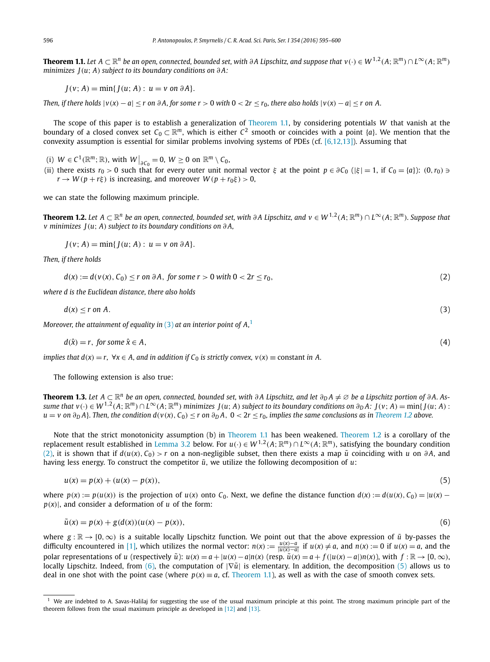**Theorem 1.1.** Let  $A \subset \mathbb{R}^n$  be an open, connected, bounded set, with  $\partial A$  Lipschitz, and suppose that  $v(\cdot) \in W^{1,2}(A; \mathbb{R}^m) \cap L^{\infty}(A; \mathbb{R}^m)$ *minimizes J(u*; *A) subject to its boundary conditions on ∂ A:*

 $J(v; A) = min{J(u; A): u = v \text{ on } \partial A}.$ 

Then, if there holds  $|v(x) - a| < r$  on  $\partial A$ , for some  $r > 0$  with  $0 < 2r < r_0$ , there also holds  $|v(x) - a| < r$  on A.

The scope of this paper is to establish a generalization of Theorem 1.1, by considering potentials *W* that vanish at the boundary of a closed convex set  $C_0 \subset \mathbb{R}^m$ , which is either  $C^2$  smooth or coincides with a point {*a*}. We mention that the convexity assumption is essential for similar problems involving systems of PDEs (cf. [\[6,12,13\]\)](#page-4-0). Assuming that

- (i)  $W \in C^1(\mathbb{R}^m; \mathbb{R})$ , with  $W\big|_{\partial C_0} = 0$ ,  $W \ge 0$  on  $\mathbb{R}^m \setminus C_0$ ,
- (ii) there exists  $r_0 > 0$  such that for every outer unit normal vector  $\xi$  at the point  $p \in \partial C_0$  ( $|\xi| = 1$ , if  $C_0 = \{a\}$ ):  $(0, r_0) \ni$  $r \rightarrow W(p+r\xi)$  is increasing, and moreover  $W(p+r_0\xi) > 0$ ,

we can state the following maximum principle.

**Theorem 1.2.** Let  $A \subset \mathbb{R}^n$  be an open, connected, bounded set, with  $\partial A$  Lipschitz, and  $v \in W^{1,2}(A; \mathbb{R}^m) \cap L^{\infty}(A; \mathbb{R}^m)$ . Suppose that *v minimizes J(u*; *A) subject to its boundary conditions on ∂ A,*

 $J(v; A) = min{J(u; A): u = v \text{ on } \partial A}.$ 

*Then, if there holds*

$$
d(x) := d(v(x), C_0) \le r \text{ on } \partial A, \text{ for some } r > 0 \text{ with } 0 < 2r \le r_0,
$$
\n
$$
(2)
$$

*where d is the Euclidean distance, there also holds*

$$
d(x) \le r \text{ on } A. \tag{3}
$$

*Moreover, the attainment of equality in* (3) *at an interior point of A,*<sup>1</sup>

 $d(\hat{x}) = r$ , *for some*  $\hat{x} \in A$ , (4)

implies that  $d(x) = r$ ,  $\forall x \in A$ , and in addition if  $C_0$  is strictly convex,  $v(x) \equiv$  constant in A.

The following extension is also true:

**Theorem 1.3.** Let  $A \subset \mathbb{R}^n$  be an open, connected, bounded set, with  $\partial A$  Lipschitz, and let  $\partial_D A \neq \emptyset$  be a Lipschitz portion of  $\partial A$ . Assume that  $v(\cdot) \in W^{1,2}(A; \mathbb{R}^m) \cap L^{\infty}(A; \mathbb{R}^m)$  minimizes  $J(u; A)$  subject to its boundary conditions on  $\partial_D A$ :  $J(v; A) = \min\{J(u; A) :$  $u = v$  on  $\partial_D A$ . Then, the condition  $d(v(x), C_0) \le r$  on  $\partial_D A$ ,  $0 < 2r \le r_0$ , implies the same conclusions as in Theorem 1.2 above.

Note that the strict monotonicity assumption (b) in Theorem 1.1 has been weakened. Theorem 1.2 is a corollary of the replacement result established in [Lemma 3.2](#page-2-0) below. For  $u(\cdot) \in W^{1,2}(A; \mathbb{R}^m) \cap L^{\infty}(A; \mathbb{R}^m)$ , satisfying the boundary condition  $(2)$ , it is shown that if  $d(u(x), C_0) > r$  on a non-negligible subset, then there exists a map  $\tilde{u}$  coinciding with *u* on  $\partial A$ , and having less energy. To construct the competitor  $\tilde{u}$ , we utilize the following decomposition of  $u$ :

$$
u(x) = p(x) + (u(x) - p(x)),
$$
\n(5)

where  $p(x) := p(u(x))$  is the projection of  $u(x)$  onto  $C_0$ . Next, we define the distance function  $d(x) := d(u(x), C_0) = |u(x) - u(x)|$  $p(x)$ , and consider a deformation of *u* of the form:

$$
\tilde{u}(x) = p(x) + g(d(x))(u(x) - p(x)),
$$
\n(6)

where  $g : \mathbb{R} \to [0, \infty)$  is a suitable locally Lipschitz function. We point out that the above expression of  $\tilde{u}$  by-passes the difficulty encountered in [\[1\],](#page-4-0) which utilizes the normal vector:  $n(x) := \frac{u(x)-a}{|u(x)-a|}$  if  $u(x) \neq a$ , and  $n(x) := 0$  if  $u(x) = a$ , and the polar representations of u (respectively  $\tilde{u}$ ):  $u(x) = a + |u(x) - a|n(x)$  (resp.  $\tilde{u}(x) = a + f(|u(x) - a|)n(x)$ ), with  $f : \mathbb{R} \to [0, \infty)$ , locally Lipschitz. Indeed, from (6), the computation of |∇*u*˜| is elementary. In addition, the decomposition (5) allows us to deal in one shot with the point case (where  $p(x) \equiv a$ , cf. Theorem 1.1), as well as with the case of smooth convex sets.

<span id="page-1-0"></span>

<sup>1</sup> We are indebted to A. Savas-Halilaj for suggesting the use of the usual maximum principle at this point. The strong maximum principle part of the theorem follows from the usual maximum principle as developed in [\[12\]](#page-5-0) and [\[13\].](#page-5-0)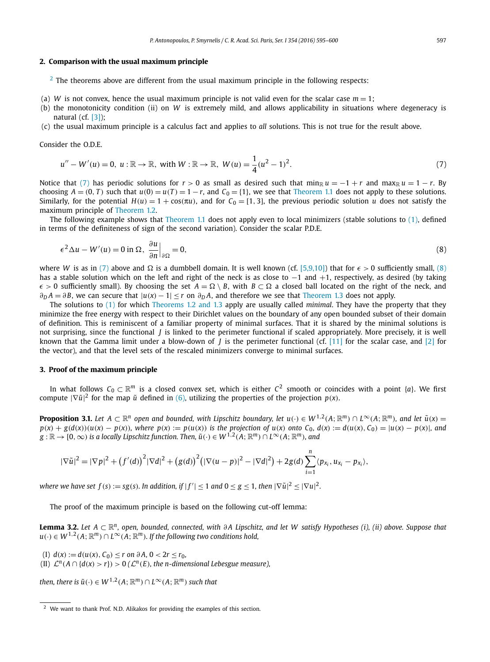#### <span id="page-2-0"></span>**2. Comparison with the usual maximum principle**

 $2$  The theorems above are different from the usual maximum principle in the following respects:

- (a) *W* is not convex, hence the usual maximum principle is not valid even for the scalar case  $m = 1$ ;
- (b) the monotonicity condition (ii) on *W* is extremely mild, and allows applicability in situations where degeneracy is natural (cf. [\[3\]\)](#page-4-0);
- (c) the usual maximum principle is a calculus fact and applies to *all* solutions. This is not true for the result above.

Consider the O.D.E.

$$
u'' - W'(u) = 0, \ u : \mathbb{R} \to \mathbb{R}, \text{ with } W : \mathbb{R} \to \mathbb{R}, \ W(u) = \frac{1}{4}(u^2 - 1)^2. \tag{7}
$$

Notice that (7) has periodic solutions for  $r > 0$  as small as desired such that min<sub>R</sub>  $u = -1 + r$  and max<sub>R</sub>  $u = 1 - r$ . By choosing  $A = (0, T)$  such that  $u(0) = u(T) = 1 - r$ , and  $C_0 = \{1\}$ , we see that [Theorem 1.1](#page-1-0) does not apply to these solutions. Similarly, for the potential  $H(u) = 1 + \cos(\pi u)$ , and for  $C_0 = [1, 3]$ , the previous periodic solution *u* does not satisfy the maximum principle of [Theorem 1.2.](#page-1-0)

The following example shows that [Theorem 1.1](#page-1-0) does not apply even to local minimizers (stable solutions to [\(1\),](#page-0-0) defined in terms of the definiteness of sign of the second variation). Consider the scalar P.D.E.

$$
\epsilon^2 \Delta u - W'(u) = 0 \text{ in } \Omega, \left. \frac{\partial u}{\partial n} \right|_{\partial \Omega} = 0,
$$
\n(8)

where *W* is as in (7) above and  $\Omega$  is a dumbbell domain. It is well known (cf. [\[5,9,10\]\)](#page-4-0) that for  $\epsilon > 0$  sufficiently small, (8) has a stable solution which on the left and right of the neck is as close to  $-1$  and  $+1$ , respectively, as desired (by taking  $\epsilon$  > 0 sufficiently small). By choosing the set *A* =  $\Omega \setminus B$ , with *B* ⊂  $\Omega$  a closed ball located on the right of the neck, and  $\partial p A = \partial B$ , we can secure that  $|u(x) - 1| \le r$  on  $\partial p A$ , and therefore we see that [Theorem 1.3](#page-1-0) does not apply.

The solutions to [\(1\)](#page-0-0) for which [Theorems 1.2 and](#page-1-0) 1.3 apply are usually called *minimal*. They have the property that they minimize the free energy with respect to their Dirichlet values on the boundary of any open bounded subset of their domain of definition. This is reminiscent of a familiar property of minimal surfaces. That it is shared by the minimal solutions is not surprising, since the functional *J* is linked to the perimeter functional if scaled appropriately. More precisely, it is well known that the Gamma limit under a blow-down of *J* is the perimeter functional (cf. [\[11\]](#page-5-0) for the scalar case, and [\[2\]](#page-4-0) for the vector), and that the level sets of the rescaled minimizers converge to minimal surfaces.

#### **3. Proof of the maximum principle**

In what follows  $C_0 \subset \mathbb{R}^m$  is a closed convex set, which is either  $C^2$  smooth or coincides with a point  $\{a\}$ . We first compute  $|\nabla \tilde{u}|^2$  for the map  $\tilde{u}$  defined in [\(6\),](#page-1-0) utilizing the properties of the projection  $p(x)$ .

**Proposition 3.1.** Let  $A \subset \mathbb{R}^n$  open and bounded, with Lipschitz boundary, let  $u(\cdot) \in W^{1,2}(A; \mathbb{R}^m) \cap L^{\infty}(A; \mathbb{R}^m)$ , and let  $\tilde{u}(x) =$  $p(x) + g(d(x))(u(x) - p(x))$ , where  $p(x) := p(u(x))$  is the projection of  $u(x)$  onto  $C_0$ ,  $d(x) := d(u(x), C_0) = |u(x) - p(x)|$ , and  $g:\mathbb{R}\to [0,\infty)$  is a locally Lipschitz function. Then,  $\tilde{u}(\cdot)\in W^{1,2}(A;\mathbb{R}^m)\cap L^\infty(A;\mathbb{R}^m)$ , and

$$
|\nabla \tilde{u}|^2 = |\nabla p|^2 + (f'(d))^2 |\nabla d|^2 + (g(d))^2 (|\nabla (u-p)|^2 - |\nabla d|^2) + 2g(d) \sum_{i=1}^n \langle p_{x_i}, u_{x_i} - p_{x_i} \rangle,
$$

where we have set  $f(s):=sg(s).$  In addition, if  $|f'| \leq 1$  and  $0 \leq g \leq 1$ , then  $|\nabla \tilde{u}|^2 \leq |\nabla u|^2.$ 

The proof of the maximum principle is based on the following cut-off lemma:

**Lemma 3.2.** Let  $A \subset \mathbb{R}^n$ , open, bounded, connected, with  $\partial A$  Lipschitz, and let W satisfy Hypotheses (i), (ii) above. Suppose that *u*(⋅) ∈ *W*<sup>1,2</sup>(*A*; ℝ<sup>*m*</sup>) ∩ *L*<sup>∞</sup>(*A*; ℝ<sup>*m*</sup>)*. If the following <i>two conditions hold,* 

(I) *d*(*x*) := *d*(*u*(*x*), *C*<sub>0</sub>) ≤ *r* on  $\partial A$ , 0 < 2*r* ≤ *r*<sub>0</sub>,

(II)  $\mathcal{L}^n(A \cap \{d(x) > r\}) > 0$  ( $\mathcal{L}^n(E)$ , the *n*-dimensional Lebesgue measure),

*then, there is*  $\tilde{u}(\cdot) \in W^{1,2}(A; \mathbb{R}^m) \cap L^{\infty}(A; \mathbb{R}^m)$  *such that* 

<sup>&</sup>lt;sup>2</sup> We want to thank Prof. N.D. Alikakos for providing the examples of this section.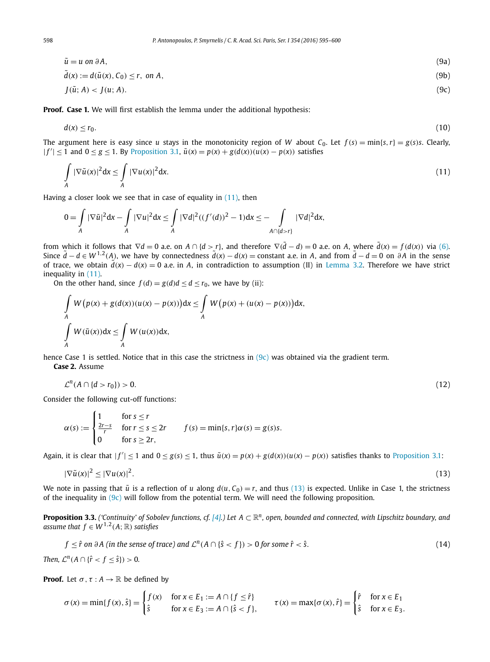<span id="page-3-0"></span>
$$
\tilde{u} = u \text{ on } \partial A,
$$
\n
$$
\tilde{d}(x) := d(\tilde{u}(x), C_0) \le r, \text{ on } A,
$$
\n
$$
J(\tilde{u}; A) < J(u; A).
$$
\n
$$
(9c)
$$

**Proof. Case 1.** We will first establish the lemma under the additional hypothesis:

$$
d(x) \le r_0. \tag{10}
$$

The argument here is easy since u stays in the monotonicity region of W about C<sub>0</sub>. Let  $f(s) = min\{s, r\} = g(s)s$ . Clearly,  $|f'| \le 1$  and  $0 \le g \le 1$ . By [Proposition 3.1,](#page-2-0)  $\tilde{u}(x) = p(x) + g(d(x))(u(x) - p(x))$  satisfies

$$
\int_{A} |\nabla \tilde{u}(x)|^2 dx \le \int_{A} |\nabla u(x)|^2 dx.
$$
\n(11)

Having a closer look we see that in case of equality in  $(11)$ , then

$$
0=\int_A |\nabla \tilde{u}|^2 dx-\int_A |\nabla u|^2 dx\leq \int_A |\nabla d|^2((f'(d))^2-1)dx\leq -\int_{A\cap\{d>r\}} |\nabla d|^2 dx,
$$

from which it follows that  $\nabla d = 0$  a.e. on  $A \cap \{d > r\}$ , and therefore  $\nabla (\tilde{d} - d) = 0$  a.e. on A, where  $\tilde{d}(x) = f(d(x))$  via [\(6\).](#page-1-0) Since  $\tilde{d} - d \in W^{1,2}(A)$ , we have by connectedness  $\tilde{d}(x) - d(x) =$  constant a.e. in A, and from  $\tilde{d} - d = 0$  on  $\partial A$  in the sense of trace, we obtain  $\tilde{d}(x) - d(x) = 0$  a.e. in *A*, in contradiction to assumption (II) in [Lemma 3.2.](#page-2-0) Therefore we have strict inequality in (11).

On the other hand, since  $f(d) = g(d)d < d < r_0$ , we have by (ii):

$$
\int_{A} W(p(x) + g(d(x))(u(x) - p(x)))dx \leq \int_{A} W(p(x) + (u(x) - p(x)))dx,
$$
  

$$
\int_{A} W(\tilde{u}(x))dx \leq \int_{A} W(u(x))dx,
$$

hence Case 1 is settled. Notice that in this case the strictness in (9c) was obtained via the gradient term. **Case 2.** Assume

$$
\mathcal{L}^n(A \cap \{d > r_0\}) > 0. \tag{12}
$$

Consider the following cut-off functions:

$$
\alpha(s) := \begin{cases} 1 & \text{for } s \le r \\ \frac{2r-s}{r} & \text{for } r \le s \le 2r \\ 0 & \text{for } s \ge 2r, \end{cases} \qquad f(s) = \min\{s, r\} \alpha(s) = g(s)s.
$$

Again, it is clear that  $|f'| \le 1$  and  $0 \le g(s) \le 1$ , thus  $\tilde{u}(x) = p(x) + g(d(x))(u(x) - p(x))$  satisfies thanks to [Proposition 3.1:](#page-2-0)

$$
|\nabla \tilde{u}(x)|^2 \le |\nabla u(x)|^2. \tag{13}
$$

We note in passing that  $\tilde{u}$  is a reflection of *u* along  $d(u, C_0) = r$ , and thus (13) is expected. Unlike in Case 1, the strictness of the inequality in  $(9c)$  will follow from the potential term. We will need the following proposition.

**Proposition 3.3.** ('Continuity' of Sobolev functions, cf. [\[4\].](#page-4-0)) Let  $A \subset \mathbb{R}^n$ , open, bounded and connected, with Lipschitz boundary, and *assume that*  $f \in W^{1,2}(A;\mathbb{R})$  *satisfies* 

$$
f \leq \hat{r} \text{ on } \partial A \text{ (in the sense of trace) and } \mathcal{L}^n(A \cap \{\hat{s} < f\}) > 0 \text{ for some } \hat{r} < \hat{s}.\tag{14}
$$

*Then,*  $\mathcal{L}^n(A \cap {\{\hat{r} < f \leq \hat{s}\}}) > 0$ .

**Proof.** Let  $\sigma$ ,  $\tau$  :  $A \rightarrow \mathbb{R}$  be defined by

$$
\sigma(x) = \min\{f(x), \hat{s}\} = \begin{cases} f(x) & \text{for } x \in E_1 := A \cap \{f \leq \hat{r}\} \\ \hat{s} & \text{for } x \in E_3 := A \cap \{\hat{s} < f\}, \end{cases} \quad \tau(x) = \max\{\sigma(x), \hat{r}\} = \begin{cases} \hat{r} & \text{for } x \in E_1 \\ \hat{s} & \text{for } x \in E_3. \end{cases}
$$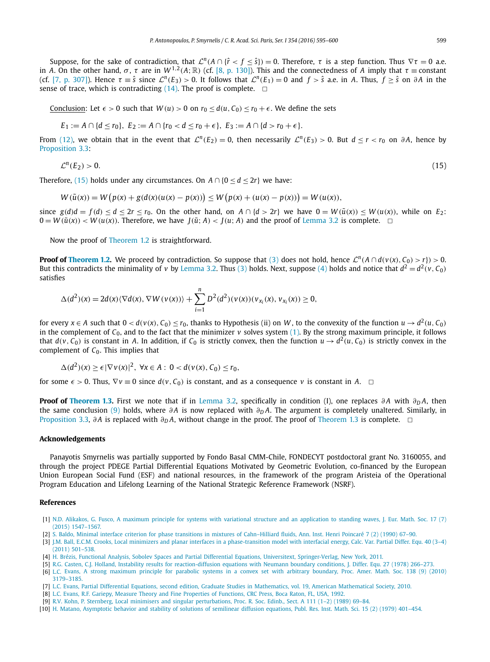<span id="page-4-0"></span>Suppose, for the sake of contradiction, that  $\mathcal{L}^n(A \cap {\{\hat{r} < f \leq \hat{s}\}}) = 0$ . Therefore,  $\tau$  is a step function. Thus  $\nabla \tau = 0$  a.e. in *A*. On the other hand,  $\sigma$ ,  $\tau$  are in  $W^{1,2}(A;\mathbb{R})$  (cf. [8, p. 130]). This and the connectedness of *A* imply that  $\tau \equiv$  constant (cf. [7, p. 307]). Hence  $\tau = \hat{s}$  since  $\mathcal{L}^n(E_3) > 0$ . It follows that  $\mathcal{L}^n(E_1) = 0$  and  $f > \hat{s}$  a.e. in A. Thus,  $f \geq \hat{s}$  on  $\partial A$  in the sense of trace, which is contradicting  $(14)$ . The proof is complete.  $\Box$ 

Conclusion: Let  $\epsilon > 0$  such that  $W(u) > 0$  on  $r_0 \leq d(u, C_0) \leq r_0 + \epsilon$ . We define the sets

$$
E_1 := A \cap \{d \leq r_0\}, E_2 := A \cap \{r_0 < d \leq r_0 + \epsilon\}, E_3 := A \cap \{d > r_0 + \epsilon\}.
$$

From [\(12\),](#page-3-0) we obtain that in the event that  $\mathcal{L}^n(E_2) = 0$ , then necessarily  $\mathcal{L}^n(E_3) > 0$ . But  $d < r < r_0$  on  $\partial A$ , hence by [Proposition 3.3:](#page-3-0)

$$
\mathcal{L}^n(E_2) > 0. \tag{15}
$$

Therefore, (15) holds under any circumstances. On  $A \cap \{0 \le d \le 2r\}$  we have:

$$
W(\tilde{u}(x)) = W(p(x) + g(d(x)(u(x) - p(x))) \le W(p(x) + (u(x) - p(x))) = W(u(x)),
$$

since  $g(d)d = f(d) < d < 2r < r_0$ . On the other hand, on  $A \cap {d > 2r}$  we have  $0 = W(\tilde{u}(x)) < W(u(x))$ , while on E<sub>2</sub>:  $0 = W(\tilde{u}(x)) < W(u(x))$ . Therefore, we have  $J(\tilde{u}; A) < J(u; A)$  and the proof of [Lemma 3.2](#page-2-0) is complete.  $\Box$ 

Now the proof of [Theorem 1.2](#page-1-0) is straightforward.

**Proof of [Theorem 1.2.](#page-1-0)** We proceed by contradiction. So suppose that [\(3\)](#page-1-0) does not hold, hence  $\mathcal{L}^n(A \cap d(v(x), C_0) > r) > 0$ . But this contradicts the minimality of *v* by [Lemma 3.2.](#page-2-0) Thus [\(3\)](#page-1-0) holds. Next, suppose [\(4\)](#page-1-0) holds and notice that  $d^2 = d^2(v, C_0)$ satisfies

$$
\Delta(d^2)(x) = 2d(x)\langle \nabla d(x), \nabla W(v(x))\rangle + \sum_{i=1}^n D^2(d^2)(v(x))(v_{x_i}(x), v_{x_i}(x)) \ge 0,
$$

for every  $x \in A$  such that  $0 < d(v(x), C_0) \le r_0$ , thanks to Hypothesis (ii) on W, to the convexity of the function  $u \to d^2(u, C_0)$ in the complement of  $C_0$ , and to the fact that the minimizer *v* solves system [\(1\).](#page-0-0) By the strong maximum principle, it follows that  $d(v, C_0)$  is constant in A. In addition, if  $C_0$  is strictly convex, then the function  $u \to d^2(u, C_0)$  is strictly convex in the complement of *C*0. This implies that

$$
\Delta(d^2)(x) \ge \epsilon |\nabla v(x)|^2, \ \forall x \in A: \ 0 < d(v(x), C_0) \le r_0,
$$

for some  $\epsilon > 0$ . Thus,  $\nabla v \equiv 0$  since  $d(v, C_0)$  is constant, and as a consequence v is constant in *A*.  $\square$ 

**Proof of [Theorem 1.3.](#page-1-0)** First we note that if in [Lemma 3.2,](#page-2-0) specifically in condition (I), one replaces  $\partial A$  with  $\partial_D A$ , then the same conclusion [\(9\)](#page-3-0) holds, where *∂ A* is now replaced with *∂<sup>D</sup> A*. The argument is completely unaltered. Similarly, in [Proposition 3.3,](#page-3-0) *∂ <sup>A</sup>* is replaced with *∂<sup>D</sup> <sup>A</sup>*, without change in the proof. The proof of [Theorem 1.3](#page-1-0) is complete. ✷

#### **Acknowledgements**

Panayotis Smyrnelis was partially supported by Fondo Basal CMM-Chile, FONDECYT postdoctoral grant No. 3160055, and through the project PDEGE Partial Differential Equations Motivated by Geometric Evolution, co-financed by the European Union European Social Fund (ESF) and national resources, in the framework of the program Aristeia of the Operational Program Education and Lifelong Learning of the National Strategic Reference Framework (NSRF).

#### **References**

- [1] N.D. Alikakos, G. Fusco, A maximum principle for systems with variational structure and an [application](http://refhub.elsevier.com/S1631-073X(16)30032-2/bib616C696B616B6F732D667573636Fs1) to standing waves, J. Eur. Math. Soc. 17 (7) (2015) [1547–1567.](http://refhub.elsevier.com/S1631-073X(16)30032-2/bib616C696B616B6F732D667573636Fs1)
- [2] S. Baldo, Minimal interface criterion for phase transitions in mixtures of [Cahn–Hilliard](http://refhub.elsevier.com/S1631-073X(16)30032-2/bib62s1) fluids, Ann. Inst. Henri Poincaré 7 (2) (1990) 67–90.
- [3] J.M. Ball, E.C.M. Crooks, Local minimizers and planar interfaces in a [phase-transition](http://refhub.elsevier.com/S1631-073X(16)30032-2/bib62616C6Cs1) model with interfacial energy, Calc. Var. Partial Differ. Equ. 40 (3–4) (2011) [501–538.](http://refhub.elsevier.com/S1631-073X(16)30032-2/bib62616C6Cs1)
- [4] H. Brézis, Functional Analysis, Sobolev Spaces and Partial Differential Equations, Universitext, [Springer-Verlag,](http://refhub.elsevier.com/S1631-073X(16)30032-2/bib6272657A6973s1) New York, 2011.
- [5] R.G. Casten, C.J. Holland, Instability results for [reaction-diffusion](http://refhub.elsevier.com/S1631-073X(16)30032-2/bib63617374656Es1) equations with Neumann boundary conditions, J. Differ. Equ. 27 (1978) 266–273.
- [6] L.C. Evans, A strong [maximum](http://refhub.elsevier.com/S1631-073X(16)30032-2/bib6576616E7330s1) principle for parabolic systems in a convex set with arbitrary boundary, Proc. Amer. Math. Soc. 138 (9) (2010) [3179–3185.](http://refhub.elsevier.com/S1631-073X(16)30032-2/bib6576616E7330s1)
- [7] L.C. Evans, Partial Differential Equations, second edition, Graduate Studies in Mathematics, vol. 19, American [Mathematical](http://refhub.elsevier.com/S1631-073X(16)30032-2/bib6576616E73s1) Society, 2010.
- [8] L.C. Evans, R.F. Gariepy, Measure Theory and Fine [Properties](http://refhub.elsevier.com/S1631-073X(16)30032-2/bib6576616E732D67617269657079s1) of Functions, CRC Press, Boca Raton, FL, USA, 1992.
- [9] R.V. Kohn, P. Sternberg, Local minimisers and singular [perturbations,](http://refhub.elsevier.com/S1631-073X(16)30032-2/bib6B737465726Es1) Proc. R. Soc. Edinb., Sect. A 111 (1–2) (1989) 69–84.
- [10] H. Matano, [Asymptotic](http://refhub.elsevier.com/S1631-073X(16)30032-2/bib6D6174616E6Fs1) behavior and stability of solutions of semilinear diffusion equations, Publ. Res. Inst. Math. Sci. 15 (2) (1979) 401–454.